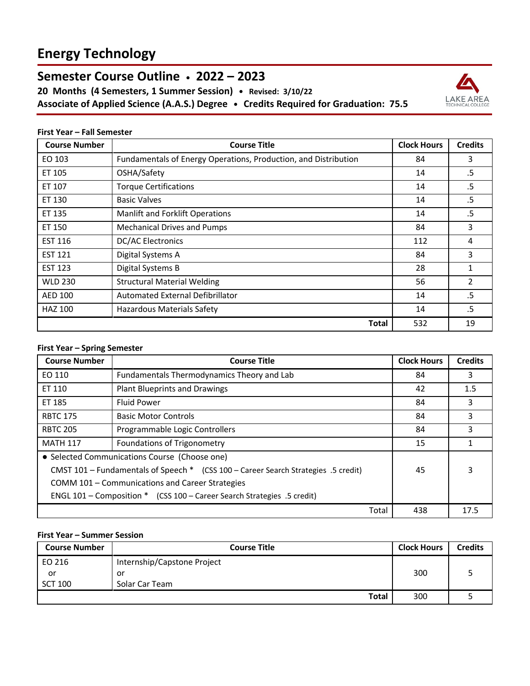# **Energy Technology**

# **Semester Course Outline • 2022 – 2023**

**20 Months (4 Semesters, 1 Summer Session) • Revised: 3/10/22 Associate of Applied Science (A.A.S.) Degree • Credits Required for Graduation: 75.5**



#### **First Year – Fall Semester**

| <b>Course Number</b> | <b>Course Title</b>                                             | <b>Clock Hours</b> | <b>Credits</b> |
|----------------------|-----------------------------------------------------------------|--------------------|----------------|
| EO 103               | Fundamentals of Energy Operations, Production, and Distribution | 84                 | 3              |
| ET 105               | OSHA/Safety                                                     | 14                 | .5             |
| ET 107               | <b>Torque Certifications</b>                                    | 14                 | .5             |
| ET 130               | <b>Basic Valves</b>                                             | 14                 | .5             |
| ET 135               | <b>Manlift and Forklift Operations</b>                          | 14                 | .5             |
| ET 150               | <b>Mechanical Drives and Pumps</b>                              | 84                 | 3              |
| <b>EST 116</b>       | <b>DC/AC Electronics</b>                                        | 112                | 4              |
| <b>EST 121</b>       | Digital Systems A                                               | 84                 | 3              |
| <b>EST 123</b>       | Digital Systems B                                               | 28                 | 1              |
| WLD 230              | <b>Structural Material Welding</b>                              | 56                 | 2              |
| AED 100              | Automated External Defibrillator                                | 14                 | .5             |
| <b>HAZ 100</b>       | <b>Hazardous Materials Safety</b>                               | 14                 | .5             |
|                      | Total                                                           | 532                | 19             |

### **First Year – Spring Semester**

| <b>Course Number</b>                                                               | <b>Course Title</b>                        |       | <b>Clock Hours</b> | <b>Credits</b> |
|------------------------------------------------------------------------------------|--------------------------------------------|-------|--------------------|----------------|
| EO 110                                                                             | Fundamentals Thermodynamics Theory and Lab |       | 84                 | 3              |
| ET 110                                                                             | <b>Plant Blueprints and Drawings</b>       |       | 42                 | 1.5            |
| ET 185                                                                             | <b>Fluid Power</b>                         |       | 84                 | 3              |
| <b>RBTC 175</b>                                                                    | <b>Basic Motor Controls</b>                |       | 84                 | 3              |
| <b>RBTC 205</b>                                                                    | Programmable Logic Controllers             |       | 84                 | 3              |
| <b>MATH 117</b>                                                                    | Foundations of Trigonometry                |       | 15                 |                |
| • Selected Communications Course (Choose one)                                      |                                            |       |                    |                |
| CMST 101 - Fundamentals of Speech * (CSS 100 - Career Search Strategies .5 credit) |                                            |       | 45                 | 3              |
| COMM 101 - Communications and Career Strategies                                    |                                            |       |                    |                |
| ENGL 101 - Composition * (CSS 100 - Career Search Strategies .5 credit)            |                                            |       |                    |                |
|                                                                                    |                                            | Total | 438                | 17.5           |

## **First Year – Summer Session**

| <b>Course Number</b> | <b>Course Title</b>         | <b>Clock Hours</b> | <b>Credits</b> |
|----------------------|-----------------------------|--------------------|----------------|
| EO 216               | Internship/Capstone Project |                    |                |
| or                   | or                          | 300                |                |
| <b>SCT 100</b>       | Solar Car Team              |                    |                |
|                      | Total                       | 300                |                |